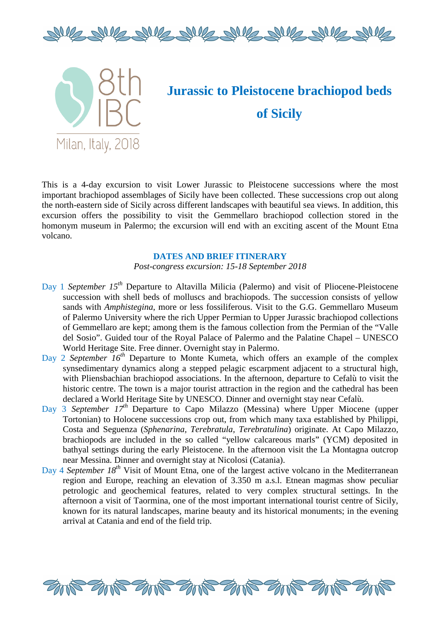



# **Jurassic to Pleistocene brachiopod beds of Sicily**

This is a 4-day excursion to visit Lower Jurassic to Pleistocene successions where the most important brachiopod assemblages of Sicily have been collected. These successions crop out along the north-eastern side of Sicily across different landscapes with beautiful sea views. In addition, this the north-eastern side of Sicily across different landscapes with beautiful sea views. In addition, this excursion offers the possibility to visit the Gemmellaro brachiopod collection stored in the homonym museum in Palermo; the excursion will end with an exciting ascent of the Mount Etna volcano. excursion offers the possibility to visit the Gemmellaro brachiopod collection stored in the<br>homonym museum in Palermo; the excursion will end with an exciting ascent of the Mount Etna<br>volcano.<br>DATES AND BRIEF ITINERARY<br>Po

# **DATES AND BRIEF ITINERARY**

Post-congress excursion: 15-18 September 2018

- succession with shell beds of molluscs and brachiopods. The succession consists of yellow sands with *Amphistegina*, more or less fossiliferous. Visit to the G.G. Gemmellaro Museum of Palermo University where the rich Upper Permian to Upper Jurassic brachiopod collections of Gemmellaro are kept; among them is the famous collection from the Permian of the "Valle del Sosio". Guided tour of the Royal Palace of Palermo and the Palatine Chapel - UNESCO World Heritage Site. Free dinner. Overnight stay in Palermo.
- Day 2 *September 16th* Departure to Monte Kumeta, which offers an example of the complex synsedimentary dynamics along a stepped pelagic escarpment adjacent to a structural high, with Pliensbachian brachiopod associations. In the afternoon, departure to Cefalù to visit the historic centre. The town is a major tourist attraction in the region and the cathedral has been declared a World Heritage Site by UNESCO. Dinner and overnight stay near Cefalù.
- Day 3 *September 17th* Departure to Capo Milazzo (Messina) where Upper Miocene (upper Tortonian) to Holocene successions crop out, from which many taxa established by Philippi, Costa and Seguenza (*Sphenarina, Terebratula, Terebratulina* ) originate. At Capo Milazzo, brachiopods are included in the so called "yellow calcareous marls" (YCM) deposited in bathyal settings during the early Pleistocene. In the afternoon visit the La Montagna outcrop near Messina. Dinner and overnight stay at Ni Nicolosi (Catania).
- Day 4 September 18<sup>th</sup> Visit of Mount Etna, one of the largest active volcano in the Mediterranean region and Europe, reaching an elevation of 3.350 m a.s.l. Etnean magmas show peculiar petrologic and geochemical features, related to very complex structural settings. In the afternoon a visit of Taormina, one of the most important international tourist centre of Sicily, known for its natural landscapes, marine beauty and its historical monuments; in the evening arrival at Catania and end of the field trip.

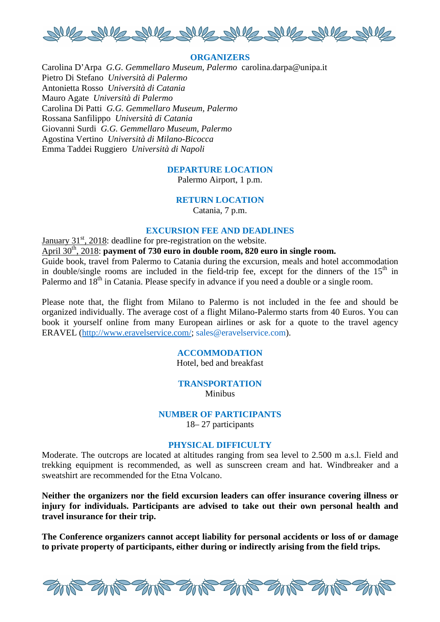

## **ORGANIZERS**

Carolina D'Arpa *G.G. Gemmellaro Museum, Palermo* carolina.darpa@unipa.it Pietro Di Stefano *Università di Palermo* Antonietta Rosso *Università di Catania* Mauro Agate *Università di Palermo* Carolina Di Patti *G.G. Gemmellaro Museum, Palermo* Rossana Sanfilippo *Università di Catania* Giovanni Surdi *G.G. Gemmellaro Museum, Palermo* Agostina Vertino *Università di Milano-Bicocca* Emma Taddei Ruggiero *Università di Napoli*

## **DEPARTURE LOCATION**

Palermo Airport, 1 p.m.

# **RETURN LOCATION**

Catania, 7 p.m.

# **EXCURSION FEE AND DEADLINES**

January  $31<sup>st</sup>$ , 2018: deadline for pre-registration on the website.

April 30<sup>th</sup>, 2018: **payment of 730 euro in double room, 820 euro in single room.** 

Guide book, travel from Palermo to Catania during the excursion, meals and hotel accommodation in double/single rooms are included in the field-trip fee, except for the dinners of the  $15<sup>th</sup>$  in Palermo and  $18<sup>th</sup>$  in Catania. Please specify in advance if you need a double or a single room.

Please note that, the flight from Milano to Palermo is not included in the fee and should be organized individually. The average cost of a flight Milano-Palermo starts from 40 Euros. You can book it yourself online from many European airlines or ask for a quote to the travel agency ERAVEL (http://www.eravelservice.com/; sales@eravelservice.com).

# **ACCOMMODATION**

Hotel, bed and breakfast

# **TRANSPORTATION**

Minibus

#### **NUMBER OF PARTICIPANTS**

18– 27 participants

### **PHYSICAL DIFFICULTY**

Moderate. The outcrops are located at altitudes ranging from sea level to 2.500 m a.s.l. Field and trekking equipment is recommended, as well as sunscreen cream and hat. Windbreaker and a sweatshirt are recommended for the Etna Volcano.

**Neither the organizers nor the field excursion leaders can offer insurance covering illness or injury for individuals. Participants are advised to take out their own personal health and travel insurance for their trip.**

**The Conference organizers cannot accept liability for personal accidents or loss of or damage to private property of participants, either during or indirectly arising from the field trips.**